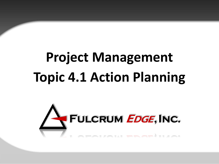# **Project Management Topic 4.1 Action Planning**

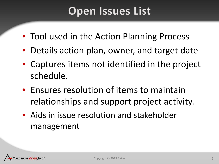#### **Open Issues List**

- Tool used in the Action Planning Process
- Details action plan, owner, and target date
- Captures items not identified in the project schedule.
- Ensures resolution of items to maintain relationships and support project activity.
- Aids in issue resolution and stakeholder management

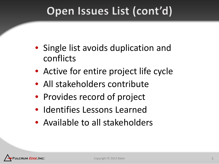#### Open Issues List (cont'd)

- Single list avoids duplication and conflicts
- Active for entire project life cycle
- All stakeholders contribute
- Provides record of project
- Identifies Lessons Learned
- Available to all stakeholders

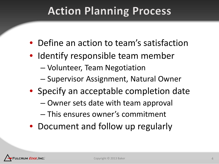#### **Action Planning Process**

- Define an action to team's satisfaction
- Identify responsible team member
	- Volunteer, Team Negotiation
	- Supervisor Assignment, Natural Owner
- Specify an acceptable completion date
	- Owner sets date with team approval
	- This ensures owner's commitment
- Document and follow up regularly

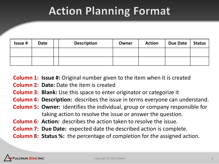#### **Action Planning Format**

| <b>Issue #</b> | <b>Date</b> | <b>Description</b> | Owner | <b>Action</b> | Due Date | Status |
|----------------|-------------|--------------------|-------|---------------|----------|--------|
|                |             |                    |       |               |          |        |
|                |             |                    |       |               |          |        |

**Column 1: Issue #:** Original number given to the item when it is created

- **Column 2: Date:** Date the item is created
- **Column 3: Blank:** Use this space to enter originator or categorize it
- **Column 4: Description:** describes the issue in terms everyone can understand.
- **Column 5: Owner:** identifies the individual, group or company responsible for taking action to resolve the issue or answer the question.
- **Column 6: Action:** describes the action taken to resolve the issue.
- **Column 7: Due Date:** expected date the described action is complete.
- **Column 8: Status %:** the percentage of completion for the assigned action.

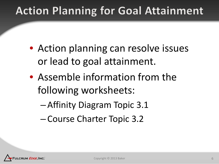### **Action Planning for Goal Attainment**

- Action planning can resolve issues or lead to goal attainment.
- Assemble information from the following worksheets:
	- Affinity Diagram Topic 3.1
	- Course Charter Topic 3.2